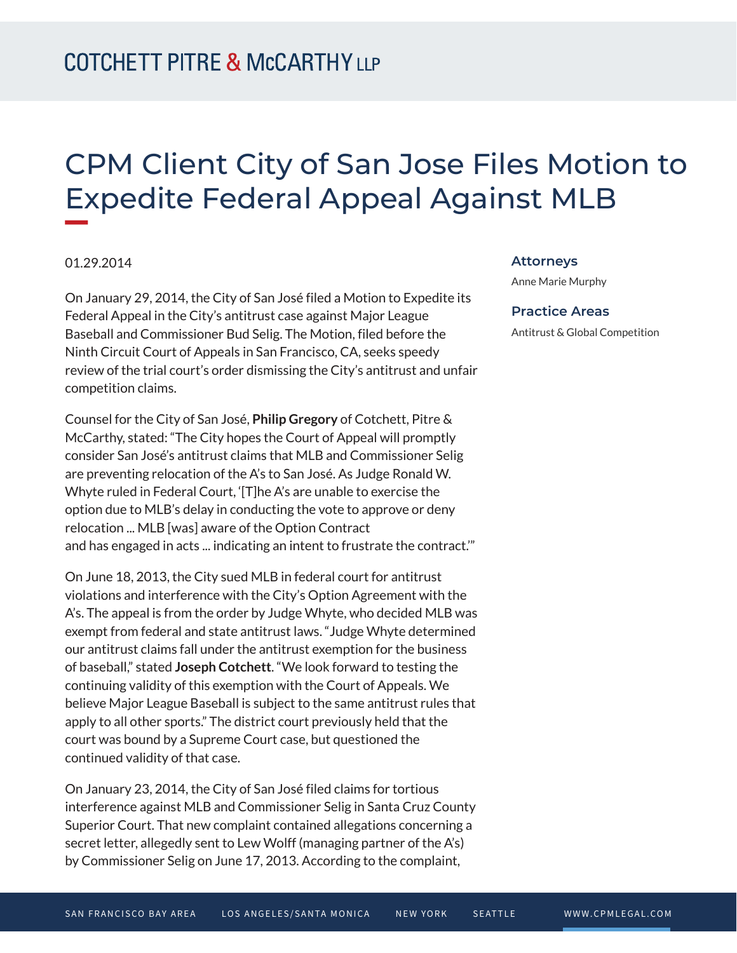## CPM Client City of San Jose Files Motion to Expedite Federal Appeal Against MLB

## 01.29.2014

**William** 

On January 29, 2014, the City of San José filed a Motion to Expedite its Federal Appeal in the City's antitrust case against Major League Baseball and Commissioner Bud Selig. The Motion, filed before the Ninth Circuit Court of Appeals in San Francisco, CA, seeks speedy review of the trial court's order dismissing the City's antitrust and unfair competition claims.

Counsel for the City of San José, **Philip Gregory** of Cotchett, Pitre & McCarthy, stated: "The City hopes the Court of Appeal will promptly consider San José's antitrust claims that MLB and Commissioner Selig are preventing relocation of the A's to San José. As Judge Ronald W. Whyte ruled in Federal Court, '[T]he A's are unable to exercise the option due to MLB's delay in conducting the vote to approve or deny relocation ... MLB [was] aware of the Option Contract and has engaged in acts ... indicating an intent to frustrate the contract.'"

On June 18, 2013, the City sued MLB in federal court for antitrust violations and interference with the City's Option Agreement with the A's. The appeal is from the order by Judge Whyte, who decided MLB was exempt from federal and state antitrust laws. "Judge Whyte determined our antitrust claims fall under the antitrust exemption for the business of baseball," stated **Joseph Cotchett**. "We look forward to testing the continuing validity of this exemption with the Court of Appeals. We believe Major League Baseball is subject to the same antitrust rules that apply to all other sports." The district court previously held that the court was bound by a Supreme Court case, but questioned the continued validity of that case.

On January 23, 2014, the City of San José filed claims for tortious interference against MLB and Commissioner Selig in Santa Cruz County Superior Court. That new complaint contained allegations concerning a secret letter, allegedly sent to Lew Wolff (managing partner of the A's) by Commissioner Selig on June 17, 2013. According to the complaint,

## **Attorneys**

Anne Marie Murphy

## **Practice Areas**

Antitrust & Global Competition